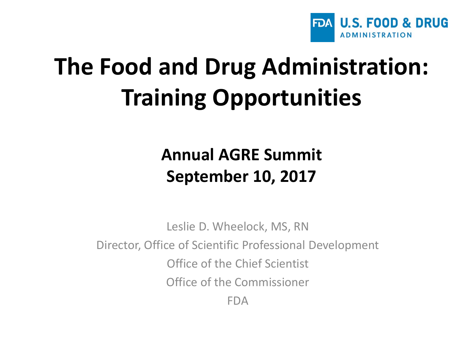

## **The Food and Drug Administration: Training Opportunities**

#### **Annual AGRE Summit September 10, 2017**

Leslie D. Wheelock, MS, RN Director, Office of Scientific Professional Development Office of the Chief Scientist Office of the Commissioner FDA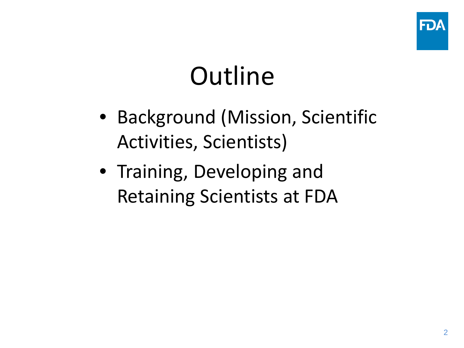

# **Outline**

- Background (Mission, Scientific Activities, Scientists)
- Training, Developing and Retaining Scientists at FDA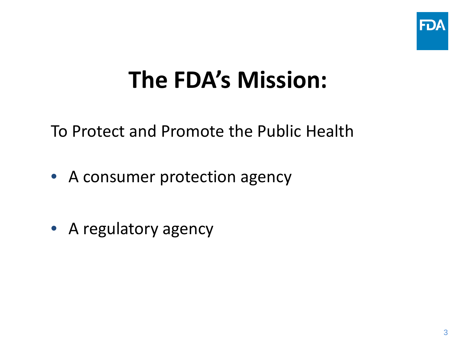

#### **The FDA's Mission:**

To Protect and Promote the Public Health

- A consumer protection agency
- A regulatory agency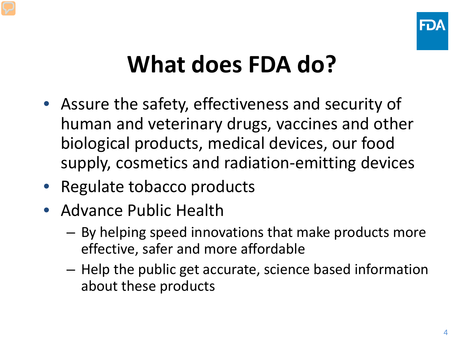

#### **What does FDA do?**

- Assure the safety, effectiveness and security of human and veterinary drugs, vaccines and other biological products, medical devices, our food supply, cosmetics and radiation-emitting devices
- Regulate tobacco products
- Advance Public Health
	- By helping speed innovations that make products more effective, safer and more affordable
	- Help the public get accurate, science based information about these products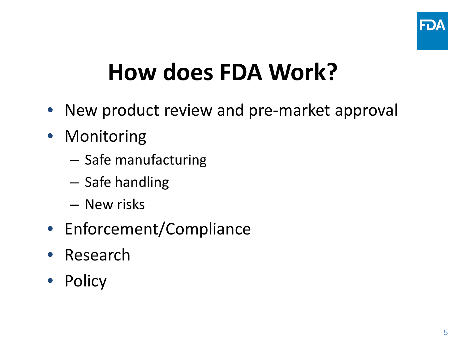

### **How does FDA Work?**

- New product review and pre-market approval
- Monitoring
	- Safe manufacturing
	- Safe handling
	- New risks
- Enforcement/Compliance
- Research
- Policy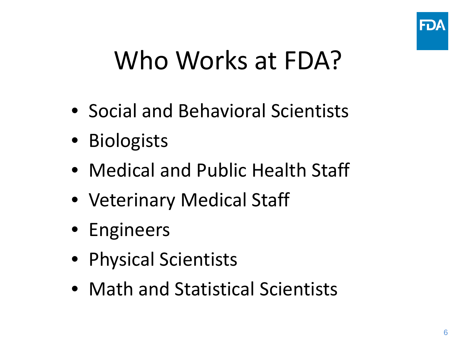

## Who Works at FDA?

- Social and Behavioral Scientists
- Biologists
- Medical and Public Health Staff
- Veterinary Medical Staff
- Engineers
- Physical Scientists
- Math and Statistical Scientists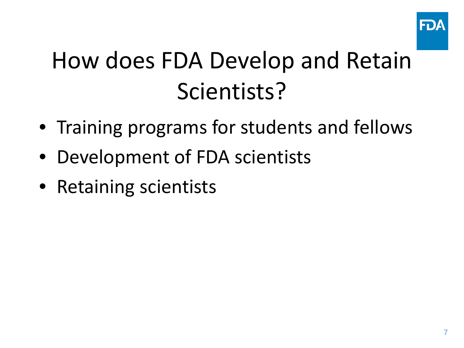

## How does FDA Develop and Retain Scientists?

- Training programs for students and fellows
- Development of FDA scientists
- Retaining scientists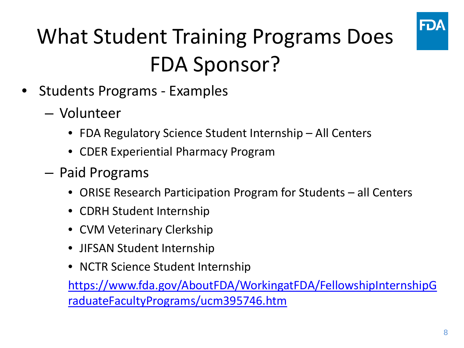

#### What Student Training Programs Does FDA Sponsor?

- Students Programs Examples
	- Volunteer
		- FDA Regulatory Science Student Internship All Centers
		- CDER Experiential Pharmacy Program
	- Paid Programs
		- ORISE Research Participation Program for Students all Centers
		- CDRH Student Internship
		- CVM Veterinary Clerkship
		- JIFSAN Student Internship
		- NCTR Science Student Internship

[https://www.fda.gov/AboutFDA/WorkingatFDA/FellowshipInternshipG](https://www.fda.gov/AboutFDA/WorkingatFDA/FellowshipInternshipGraduateFacultyPrograms/ucm395746.htm) [raduateFacultyPrograms/ucm395746.htm](https://www.fda.gov/AboutFDA/WorkingatFDA/FellowshipInternshipGraduateFacultyPrograms/ucm395746.htm)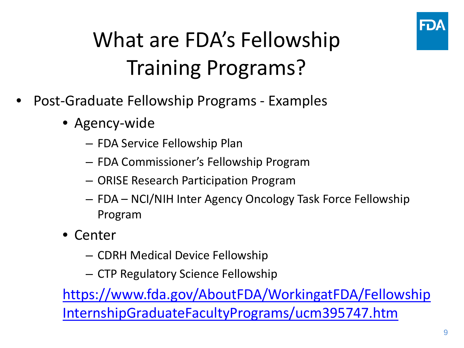

#### What are FDA's Fellowship Training Programs?

- Post-Graduate Fellowship Programs Examples
	- Agency-wide
		- FDA Service Fellowship Plan
		- FDA Commissioner's Fellowship Program
		- ORISE Research Participation Program
		- FDA NCI/NIH Inter Agency Oncology Task Force Fellowship Program
	- Center
		- CDRH Medical Device Fellowship
		- CTP Regulatory Science Fellowship

[https://www.fda.gov/AboutFDA/WorkingatFDA/Fellowship](https://www.fda.gov/AboutFDA/WorkingatFDA/FellowshipInternshipGraduateFacultyPrograms/ucm395747.htm) [InternshipGraduateFacultyPrograms/ucm395747.htm](https://www.fda.gov/AboutFDA/WorkingatFDA/FellowshipInternshipGraduateFacultyPrograms/ucm395747.htm)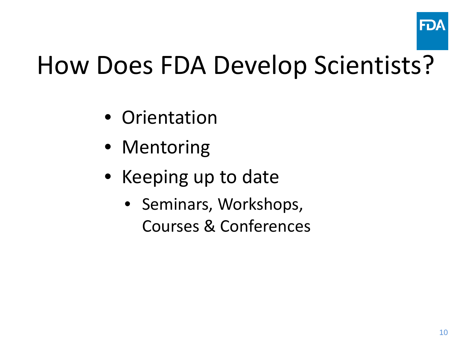

## How Does FDA Develop Scientists?

- Orientation
- Mentoring
- Keeping up to date
	- Seminars, Workshops, Courses & Conferences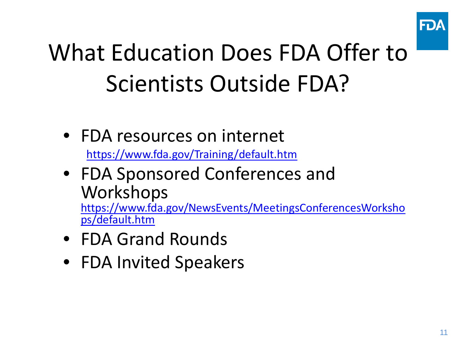

## What Education Does FDA Offer to Scientists Outside FDA?

• FDA resources on internet

<https://www.fda.gov/Training/default.htm>

• FDA Sponsored Conferences and Workshops

[https://www.fda.gov/NewsEvents/MeetingsConferencesWorksho](https://www.fda.gov/NewsEvents/MeetingsConferencesWorkshops/default.htm) [ps/default.htm](https://www.fda.gov/NewsEvents/MeetingsConferencesWorkshops/default.htm)

- FDA Grand Rounds
- FDA Invited Speakers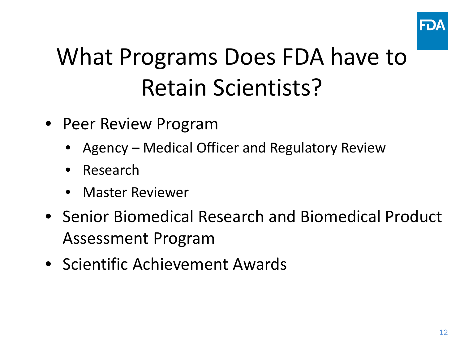

### What Programs Does FDA have to Retain Scientists?

- Peer Review Program
	- Agency Medical Officer and Regulatory Review
	- Research
	- Master Reviewer
- Senior Biomedical Research and Biomedical Product Assessment Program
- Scientific Achievement Awards